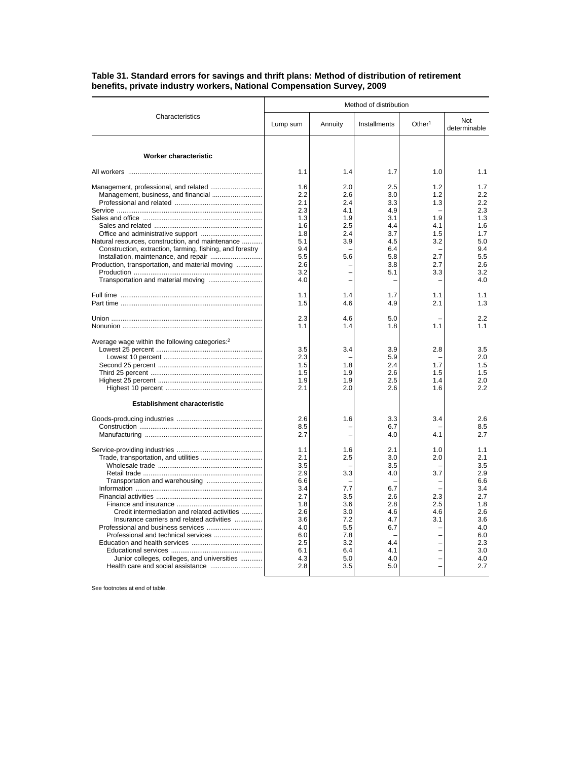|                                                                                                                                                                                 | Method of distribution                                                                                |                                                                                         |                                                                                         |                                                                           |                                                                                                       |  |
|---------------------------------------------------------------------------------------------------------------------------------------------------------------------------------|-------------------------------------------------------------------------------------------------------|-----------------------------------------------------------------------------------------|-----------------------------------------------------------------------------------------|---------------------------------------------------------------------------|-------------------------------------------------------------------------------------------------------|--|
| Characteristics                                                                                                                                                                 | Lump sum                                                                                              | Annuity                                                                                 | Installments                                                                            | Other <sup>1</sup>                                                        | Not<br>determinable                                                                                   |  |
| Worker characteristic                                                                                                                                                           |                                                                                                       |                                                                                         |                                                                                         |                                                                           |                                                                                                       |  |
|                                                                                                                                                                                 | 1.1                                                                                                   | 1.4                                                                                     | 1.7                                                                                     | 1.0                                                                       | 1.1                                                                                                   |  |
| Management, business, and financial                                                                                                                                             | 1.6<br>2.2<br>2.1<br>2.3<br>1.3<br>1.6                                                                | 2.0<br>2.6<br>2.4<br>4.1<br>1.9<br>2.5                                                  | 2.5<br>3.0<br>3.3<br>4.9<br>3.1<br>4.4                                                  | 1.2<br>1.2<br>1.3<br>1.9<br>4.1                                           | 1.7<br>2.2<br>2.2<br>2.3<br>1.3<br>1.6                                                                |  |
| Natural resources, construction, and maintenance<br>Construction, extraction, farming, fishing, and forestry<br>Production, transportation, and material moving                 | 1.8<br>5.1<br>9.4<br>5.5<br>2.6<br>3.2                                                                | 2.4<br>3.9<br>5.6                                                                       | 3.7<br>4.5<br>6.4<br>5.8<br>3.8<br>5.1                                                  | 1.5<br>3.2<br>2.7<br>2.7<br>3.3                                           | 1.7<br>5.0<br>9.4<br>5.5<br>2.6<br>3.2                                                                |  |
|                                                                                                                                                                                 | 4.0                                                                                                   |                                                                                         |                                                                                         |                                                                           | 4.0                                                                                                   |  |
|                                                                                                                                                                                 | 1.1<br>1.5                                                                                            | 1.4<br>4.6                                                                              | 1.7<br>4.9                                                                              | 1.1<br>2.1                                                                | 1.1<br>1.3                                                                                            |  |
|                                                                                                                                                                                 | 2.3<br>1.1                                                                                            | 4.6<br>1.4                                                                              | 5.0<br>1.8                                                                              | 1.1                                                                       | 2.2<br>1.1                                                                                            |  |
| Average wage within the following categories: <sup>2</sup>                                                                                                                      | 3.5<br>2.3<br>1.5<br>1.5<br>1.9<br>2.1                                                                | 3.4<br>1.8<br>1.9<br>1.9<br>2.0                                                         | 3.9<br>5.9<br>2.4<br>2.6<br>2.5<br>2.6                                                  | 2.8<br>1.7<br>1.5<br>1.4<br>1.6                                           | 3.5<br>2.0<br>1.5<br>1.5<br>2.0<br>2.2                                                                |  |
| <b>Establishment characteristic</b>                                                                                                                                             | 2.6<br>8.5<br>2.7                                                                                     | 1.6                                                                                     | 3.3<br>6.7<br>4.0                                                                       | 3.4<br>4.1                                                                | 2.6<br>8.5<br>2.7                                                                                     |  |
| Credit intermediation and related activities<br>Insurance carriers and related activities<br>Professional and technical services<br>Junior colleges, colleges, and universities | 1.1<br>2.1<br>3.5<br>2.9<br>6.6<br>3.4<br>2.7<br>1.8<br>2.6<br>3.6<br>4.0<br>6.0<br>2.5<br>6.1<br>4.3 | 1.6<br>2.5<br>3.3<br>7.7<br>3.5<br>3.6<br>3.0<br>7.2<br>5.5<br>7.8<br>3.2<br>6.4<br>5.0 | 2.1<br>3.0<br>3.5<br>4.0<br>6.7<br>2.6<br>2.8<br>4.6<br>4.7<br>6.7<br>4.4<br>4.1<br>4.0 | 1.0<br>2.0<br>3.7<br>2.3<br>2.5<br>4.6<br>3.1<br>$\overline{\phantom{0}}$ | 1.1<br>2.1<br>3.5<br>2.9<br>6.6<br>3.4<br>2.7<br>1.8<br>2.6<br>3.6<br>4.0<br>6.0<br>2.3<br>3.0<br>4.0 |  |
|                                                                                                                                                                                 | 2.8                                                                                                   | 3.5                                                                                     | 5.0                                                                                     |                                                                           | 2.7                                                                                                   |  |

## **Table 31. Standard errors for savings and thrift plans: Method of distribution of retirement benefits, private industry workers, National Compensation Survey, 2009**

See footnotes at end of table.